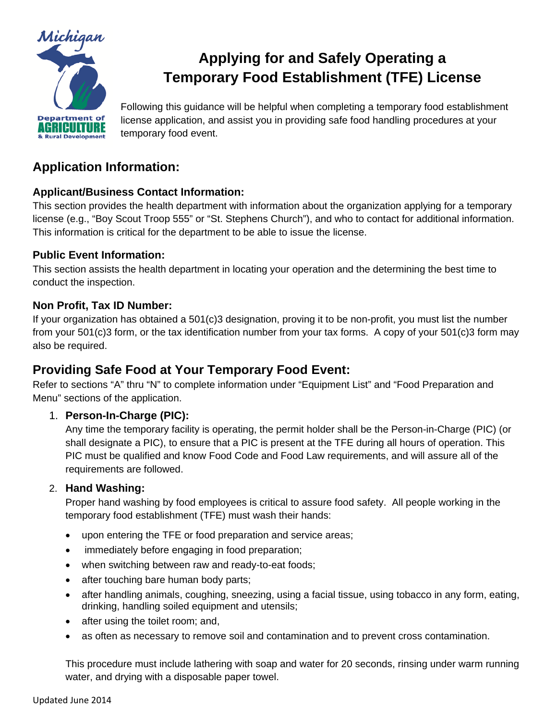

# **Applying for and Safely Operating a Temporary Food Establishment (TFE) License**

Following this guidance will be helpful when completing a temporary food establishment license application, and assist you in providing safe food handling procedures at your temporary food event.

## **Application Information:**

## **Applicant/Business Contact Information:**

This section provides the health department with information about the organization applying for a temporary license (e.g., "Boy Scout Troop 555" or "St. Stephens Church"), and who to contact for additional information. This information is critical for the department to be able to issue the license.

## **Public Event Information:**

This section assists the health department in locating your operation and the determining the best time to conduct the inspection.

## **Non Profit, Tax ID Number:**

If your organization has obtained a 501(c)3 designation, proving it to be non-profit, you must list the number from your 501(c)3 form, or the tax identification number from your tax forms. A copy of your 501(c)3 form may also be required.

## **Providing Safe Food at Your Temporary Food Event:**

Refer to sections "A" thru "N" to complete information under "Equipment List" and "Food Preparation and Menu" sections of the application.

## 1. **Person-In-Charge (PIC):**

Any time the temporary facility is operating, the permit holder shall be the Person-in-Charge (PIC) (or shall designate a PIC), to ensure that a PIC is present at the TFE during all hours of operation. This PIC must be qualified and know Food Code and Food Law requirements, and will assure all of the requirements are followed.

## 2. **Hand Washing:**

Proper hand washing by food employees is critical to assure food safety. All people working in the temporary food establishment (TFE) must wash their hands:

- upon entering the TFE or food preparation and service areas;
- immediately before engaging in food preparation;
- when switching between raw and ready-to-eat foods;
- after touching bare human body parts;
- after handling animals, coughing, sneezing, using a facial tissue, using tobacco in any form, eating, drinking, handling soiled equipment and utensils;
- after using the toilet room; and,
- as often as necessary to remove soil and contamination and to prevent cross contamination.

This procedure must include lathering with soap and water for 20 seconds, rinsing under warm running water, and drying with a disposable paper towel.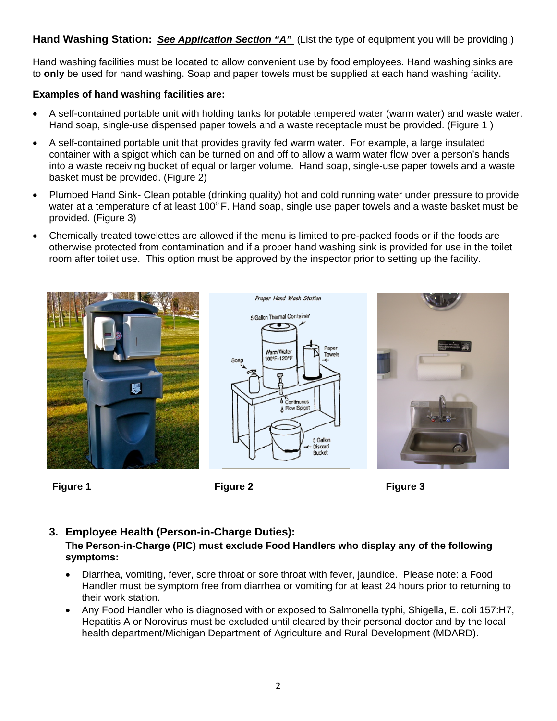Hand Washing Station: *See Application Section "A"* (List the type of equipment you will be providing.)

Hand washing facilities must be located to allow convenient use by food employees. Hand washing sinks are to **only** be used for hand washing. Soap and paper towels must be supplied at each hand washing facility.

### **Examples of hand washing facilities are:**

- A self-contained portable unit with holding tanks for potable tempered water (warm water) and waste water. Hand soap, single-use dispensed paper towels and a waste receptacle must be provided. (Figure 1 )
- A self-contained portable unit that provides gravity fed warm water. For example, a large insulated container with a spigot which can be turned on and off to allow a warm water flow over a person's hands into a waste receiving bucket of equal or larger volume. Hand soap, single-use paper towels and a waste basket must be provided. (Figure 2)
- Plumbed Hand Sink- Clean potable (drinking quality) hot and cold running water under pressure to provide water at a temperature of at least  $100^{\circ}$  F. Hand soap, single use paper towels and a waste basket must be provided. (Figure 3)
- Chemically treated towelettes are allowed if the menu is limited to pre-packed foods or if the foods are otherwise protected from contamination and if a proper hand washing sink is provided for use in the toilet room after toilet use. This option must be approved by the inspector prior to setting up the facility.







**Figure 1 Figure 2 Figure 3** 

## **3. Employee Health (Person-in-Charge Duties):**

### **The Person-in-Charge (PIC) must exclude Food Handlers who display any of the following symptoms:**

- Diarrhea, vomiting, fever, sore throat or sore throat with fever, jaundice. Please note: a Food Handler must be symptom free from diarrhea or vomiting for at least 24 hours prior to returning to their work station.
- Any Food Handler who is diagnosed with or exposed to Salmonella typhi, Shigella, E. coli 157:H7, Hepatitis A or Norovirus must be excluded until cleared by their personal doctor and by the local health department/Michigan Department of Agriculture and Rural Development (MDARD).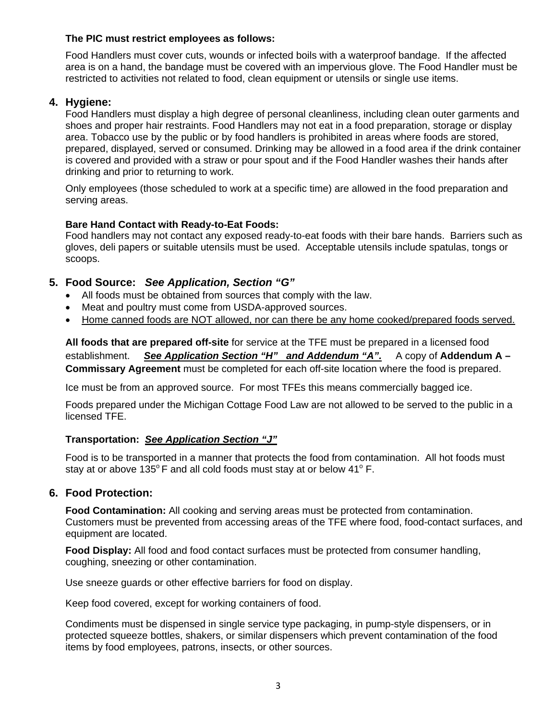#### **The PIC must restrict employees as follows:**

Food Handlers must cover cuts, wounds or infected boils with a waterproof bandage. If the affected area is on a hand, the bandage must be covered with an impervious glove. The Food Handler must be restricted to activities not related to food, clean equipment or utensils or single use items.

#### **4. Hygiene:**

Food Handlers must display a high degree of personal cleanliness, including clean outer garments and shoes and proper hair restraints. Food Handlers may not eat in a food preparation, storage or display area. Tobacco use by the public or by food handlers is prohibited in areas where foods are stored, prepared, displayed, served or consumed. Drinking may be allowed in a food area if the drink container is covered and provided with a straw or pour spout and if the Food Handler washes their hands after drinking and prior to returning to work.

Only employees (those scheduled to work at a specific time) are allowed in the food preparation and serving areas.

#### **Bare Hand Contact with Ready-to-Eat Foods:**

Food handlers may not contact any exposed ready-to-eat foods with their bare hands. Barriers such as gloves, deli papers or suitable utensils must be used. Acceptable utensils include spatulas, tongs or scoops.

#### **5. Food Source:** *See Application, Section "G"*

- All foods must be obtained from sources that comply with the law.
- Meat and poultry must come from USDA-approved sources.
- Home canned foods are NOT allowed, nor can there be any home cooked/prepared foods served.

**All foods that are prepared off-site** for service at the TFE must be prepared in a licensed food establishment. *See Application Section "H" and Addendum "A".* A copy of **Addendum A – Commissary Agreement** must be completed for each off-site location where the food is prepared.

Ice must be from an approved source. For most TFEs this means commercially bagged ice.

Foods prepared under the Michigan Cottage Food Law are not allowed to be served to the public in a licensed TFE.

#### **Transportation:** *See Application Section "J"*

Food is to be transported in a manner that protects the food from contamination. All hot foods must stay at or above 135 $\degree$ F and all cold foods must stay at or below 41 $\degree$ F.

#### **6. Food Protection:**

**Food Contamination:** All cooking and serving areas must be protected from contamination. Customers must be prevented from accessing areas of the TFE where food, food-contact surfaces, and equipment are located.

**Food Display:** All food and food contact surfaces must be protected from consumer handling, coughing, sneezing or other contamination.

Use sneeze guards or other effective barriers for food on display.

Keep food covered, except for working containers of food.

Condiments must be dispensed in single service type packaging, in pump-style dispensers, or in protected squeeze bottles, shakers, or similar dispensers which prevent contamination of the food items by food employees, patrons, insects, or other sources.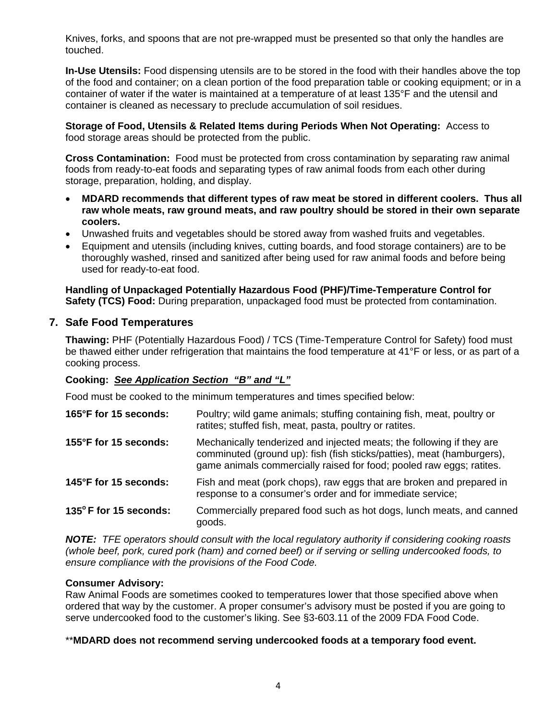Knives, forks, and spoons that are not pre-wrapped must be presented so that only the handles are touched.

**In-Use Utensils:** Food dispensing utensils are to be stored in the food with their handles above the top of the food and container; on a clean portion of the food preparation table or cooking equipment; or in a container of water if the water is maintained at a temperature of at least 135°F and the utensil and container is cleaned as necessary to preclude accumulation of soil residues.

**Storage of Food, Utensils & Related Items during Periods When Not Operating:** Access to food storage areas should be protected from the public.

**Cross Contamination:** Food must be protected from cross contamination by separating raw animal foods from ready-to-eat foods and separating types of raw animal foods from each other during storage, preparation, holding, and display.

- **MDARD recommends that different types of raw meat be stored in different coolers. Thus all raw whole meats, raw ground meats, and raw poultry should be stored in their own separate coolers.**
- Unwashed fruits and vegetables should be stored away from washed fruits and vegetables.
- Equipment and utensils (including knives, cutting boards, and food storage containers) are to be thoroughly washed, rinsed and sanitized after being used for raw animal foods and before being used for ready-to-eat food.

**Handling of Unpackaged Potentially Hazardous Food (PHF)/Time-Temperature Control for Safety (TCS) Food:** During preparation, unpackaged food must be protected from contamination.

### **7. Safe Food Temperatures**

**Thawing:** PHF (Potentially Hazardous Food) / TCS (Time-Temperature Control for Safety) food must be thawed either under refrigeration that maintains the food temperature at 41°F or less, or as part of a cooking process.

#### **Cooking:** *See Application Section "B" and "L"*

Food must be cooked to the minimum temperatures and times specified below:

| 165°F for 15 seconds: | Poultry; wild game animals; stuffing containing fish, meat, poultry or<br>ratites; stuffed fish, meat, pasta, poultry or ratites.                                                                                       |
|-----------------------|-------------------------------------------------------------------------------------------------------------------------------------------------------------------------------------------------------------------------|
| 155°F for 15 seconds: | Mechanically tenderized and injected meats; the following if they are<br>comminuted (ground up): fish (fish sticks/patties), meat (hamburgers),<br>game animals commercially raised for food; pooled raw eggs; ratites. |
| 145°F for 15 seconds: | Fish and meat (pork chops), raw eggs that are broken and prepared in<br>response to a consumer's order and for immediate service;                                                                                       |
| 135°F for 15 seconds: | Commercially prepared food such as hot dogs, lunch meats, and canned<br>goods.                                                                                                                                          |

*NOTE: TFE operators should consult with the local regulatory authority if considering cooking roasts (whole beef, pork, cured pork (ham) and corned beef) or if serving or selling undercooked foods, to ensure compliance with the provisions of the Food Code.* 

#### **Consumer Advisory:**

Raw Animal Foods are sometimes cooked to temperatures lower that those specified above when ordered that way by the customer. A proper consumer's advisory must be posted if you are going to serve undercooked food to the customer's liking. See §3-603.11 of the 2009 FDA Food Code.

#### \*\***MDARD does not recommend serving undercooked foods at a temporary food event.**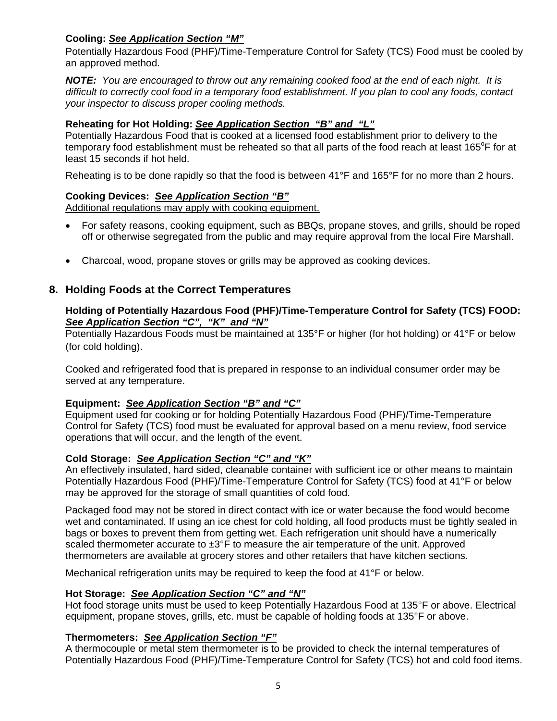#### **Cooling:** *See Application Section "M"*

Potentially Hazardous Food (PHF)/Time-Temperature Control for Safety (TCS) Food must be cooled by an approved method.

*NOTE: You are encouraged to throw out any remaining cooked food at the end of each night. It is difficult to correctly cool food in a temporary food establishment. If you plan to cool any foods, contact your inspector to discuss proper cooling methods.* 

#### **Reheating for Hot Holding:** *See Application Section "B" and "L"*

Potentially Hazardous Food that is cooked at a licensed food establishment prior to delivery to the temporary food establishment must be reheated so that all parts of the food reach at least 165°F for at least 15 seconds if hot held.

Reheating is to be done rapidly so that the food is between 41°F and 165°F for no more than 2 hours.

#### **Cooking Devices:** *See Application Section "B"*

Additional regulations may apply with cooking equipment.

- For safety reasons, cooking equipment, such as BBQs, propane stoves, and grills, should be roped off or otherwise segregated from the public and may require approval from the local Fire Marshall.
- Charcoal, wood, propane stoves or grills may be approved as cooking devices.

### **8. Holding Foods at the Correct Temperatures**

#### **Holding of Potentially Hazardous Food (PHF)/Time-Temperature Control for Safety (TCS) FOOD:**  *See Application Section "C", "K" and "N"*

Potentially Hazardous Foods must be maintained at 135°F or higher (for hot holding) or 41°F or below (for cold holding).

Cooked and refrigerated food that is prepared in response to an individual consumer order may be served at any temperature.

#### **Equipment:** *See Application Section "B" and "C"*

Equipment used for cooking or for holding Potentially Hazardous Food (PHF)/Time-Temperature Control for Safety (TCS) food must be evaluated for approval based on a menu review, food service operations that will occur, and the length of the event.

#### **Cold Storage:** *See Application Section "C" and "K"*

An effectively insulated, hard sided, cleanable container with sufficient ice or other means to maintain Potentially Hazardous Food (PHF)/Time-Temperature Control for Safety (TCS) food at 41°F or below may be approved for the storage of small quantities of cold food.

Packaged food may not be stored in direct contact with ice or water because the food would become wet and contaminated. If using an ice chest for cold holding, all food products must be tightly sealed in bags or boxes to prevent them from getting wet. Each refrigeration unit should have a numerically scaled thermometer accurate to  $\pm 3^{\circ}$ F to measure the air temperature of the unit. Approved thermometers are available at grocery stores and other retailers that have kitchen sections.

Mechanical refrigeration units may be required to keep the food at 41°F or below.

#### **Hot Storage:** *See Application Section "C" and "N"*

Hot food storage units must be used to keep Potentially Hazardous Food at 135°F or above. Electrical equipment, propane stoves, grills, etc. must be capable of holding foods at 135°F or above.

#### **Thermometers:** *See Application Section "F"*

A thermocouple or metal stem thermometer is to be provided to check the internal temperatures of Potentially Hazardous Food (PHF)/Time-Temperature Control for Safety (TCS) hot and cold food items.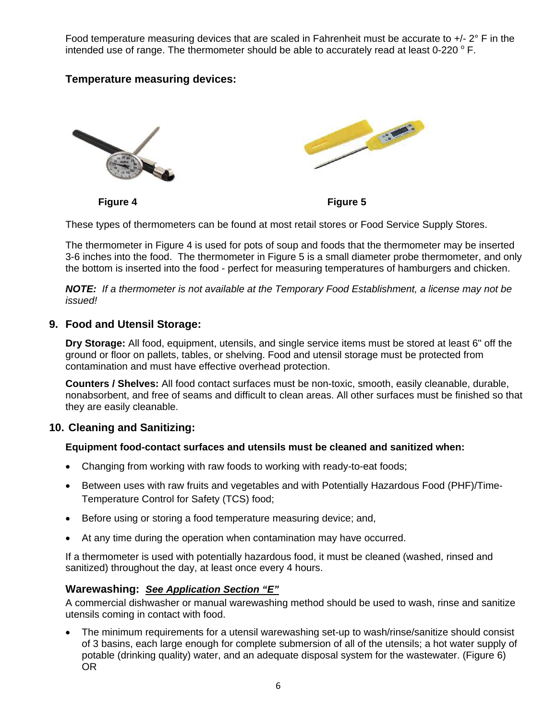Food temperature measuring devices that are scaled in Fahrenheit must be accurate to  $+/- 2$ ° F in the intended use of range. The thermometer should be able to accurately read at least 0-220  $^{\circ}$  F.

## **Temperature measuring devices:**



**Figure 4 Figure 5** 

These types of thermometers can be found at most retail stores or Food Service Supply Stores.

The thermometer in Figure 4 is used for pots of soup and foods that the thermometer may be inserted 3-6 inches into the food. The thermometer in Figure 5 is a small diameter probe thermometer, and only the bottom is inserted into the food - perfect for measuring temperatures of hamburgers and chicken.

*NOTE: If a thermometer is not available at the Temporary Food Establishment, a license may not be issued!* 

#### **9. Food and Utensil Storage:**

**Dry Storage:** All food, equipment, utensils, and single service items must be stored at least 6" off the ground or floor on pallets, tables, or shelving. Food and utensil storage must be protected from contamination and must have effective overhead protection.

**Counters / Shelves:** All food contact surfaces must be non-toxic, smooth, easily cleanable, durable, nonabsorbent, and free of seams and difficult to clean areas. All other surfaces must be finished so that they are easily cleanable.

### **10. Cleaning and Sanitizing:**

#### **Equipment food-contact surfaces and utensils must be cleaned and sanitized when:**

- Changing from working with raw foods to working with ready-to-eat foods;
- Between uses with raw fruits and vegetables and with Potentially Hazardous Food (PHF)/Time-Temperature Control for Safety (TCS) food;
- Before using or storing a food temperature measuring device; and,
- At any time during the operation when contamination may have occurred.

If a thermometer is used with potentially hazardous food, it must be cleaned (washed, rinsed and sanitized) throughout the day, at least once every 4 hours.

#### **Warewashing:** *See Application Section "E"*

A commercial dishwasher or manual warewashing method should be used to wash, rinse and sanitize utensils coming in contact with food.

 The minimum requirements for a utensil warewashing set-up to wash/rinse/sanitize should consist of 3 basins, each large enough for complete submersion of all of the utensils; a hot water supply of potable (drinking quality) water, and an adequate disposal system for the wastewater. (Figure 6) OR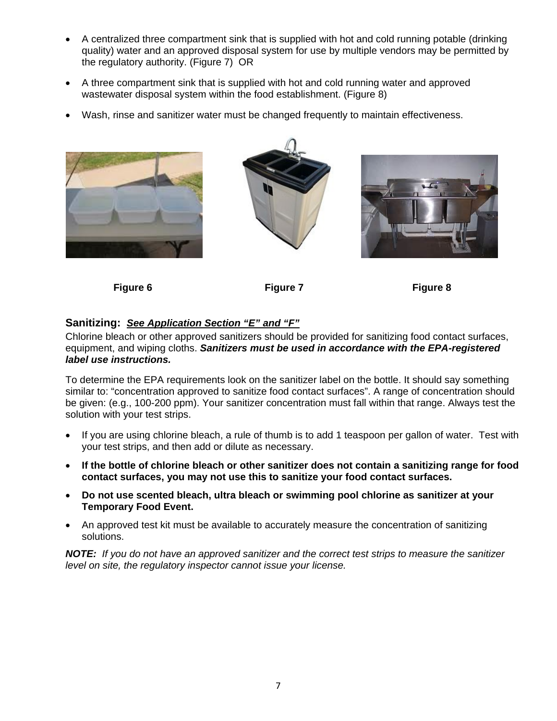- A centralized three compartment sink that is supplied with hot and cold running potable (drinking quality) water and an approved disposal system for use by multiple vendors may be permitted by the regulatory authority. (Figure 7) OR
- A three compartment sink that is supplied with hot and cold running water and approved wastewater disposal system within the food establishment. (Figure 8)
- Wash, rinse and sanitizer water must be changed frequently to maintain effectiveness.







**Figure 6** Figure 7 Figure 7 **Figure 8** 

### **Sanitizing:** *See Application Section "E" and "F"*

Chlorine bleach or other approved sanitizers should be provided for sanitizing food contact surfaces, equipment, and wiping cloths. *Sanitizers must be used in accordance with the EPA-registered label use instructions.* 

To determine the EPA requirements look on the sanitizer label on the bottle. It should say something similar to: "concentration approved to sanitize food contact surfaces". A range of concentration should be given: (e.g., 100-200 ppm). Your sanitizer concentration must fall within that range. Always test the solution with your test strips.

- If you are using chlorine bleach, a rule of thumb is to add 1 teaspoon per gallon of water. Test with your test strips, and then add or dilute as necessary.
- **If the bottle of chlorine bleach or other sanitizer does not contain a sanitizing range for food contact surfaces, you may not use this to sanitize your food contact surfaces.**
- **Do not use scented bleach, ultra bleach or swimming pool chlorine as sanitizer at your Temporary Food Event.**
- An approved test kit must be available to accurately measure the concentration of sanitizing solutions.

*NOTE: If you do not have an approved sanitizer and the correct test strips to measure the sanitizer level on site, the regulatory inspector cannot issue your license.*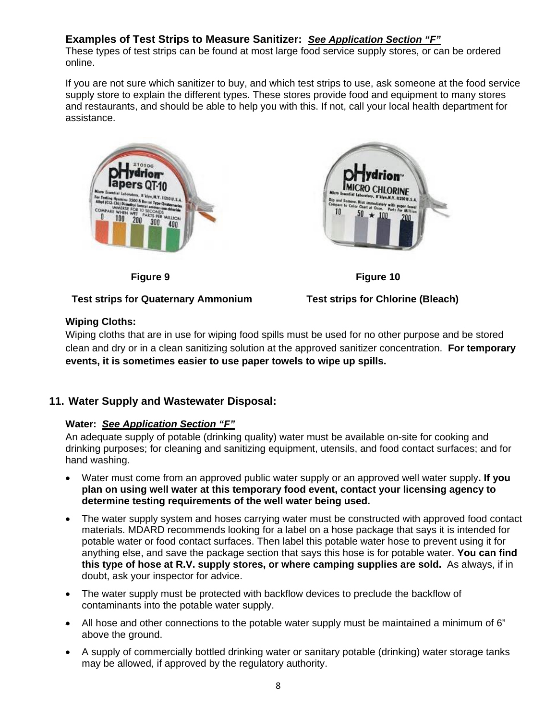## **Examples of Test Strips to Measure Sanitizer:** *See Application Section "F"*

These types of test strips can be found at most large food service supply stores, or can be ordered online.

If you are not sure which sanitizer to buy, and which test strips to use, ask someone at the food service supply store to explain the different types. These stores provide food and equipment to many stores and restaurants, and should be able to help you with this. If not, call your local health department for assistance.



#### **Test strips for Quaternary Ammonium Test strips for Chlorine (Bleach)**





### **Wiping Cloths:**

Wiping cloths that are in use for wiping food spills must be used for no other purpose and be stored clean and dry or in a clean sanitizing solution at the approved sanitizer concentration. **For temporary events, it is sometimes easier to use paper towels to wipe up spills.** 

## **11. Water Supply and Wastewater Disposal:**

### **Water:** *See Application Section "F"*

An adequate supply of potable (drinking quality) water must be available on-site for cooking and drinking purposes; for cleaning and sanitizing equipment, utensils, and food contact surfaces; and for hand washing.

- Water must come from an approved public water supply or an approved well water supply**. If you plan on using well water at this temporary food event, contact your licensing agency to determine testing requirements of the well water being used.**
- The water supply system and hoses carrying water must be constructed with approved food contact materials. MDARD recommends looking for a label on a hose package that says it is intended for potable water or food contact surfaces. Then label this potable water hose to prevent using it for anything else, and save the package section that says this hose is for potable water. **You can find this type of hose at R.V. supply stores, or where camping supplies are sold.** As always, if in doubt, ask your inspector for advice.
- The water supply must be protected with backflow devices to preclude the backflow of contaminants into the potable water supply.
- All hose and other connections to the potable water supply must be maintained a minimum of 6" above the ground.
- A supply of commercially bottled drinking water or sanitary potable (drinking) water storage tanks may be allowed, if approved by the regulatory authority.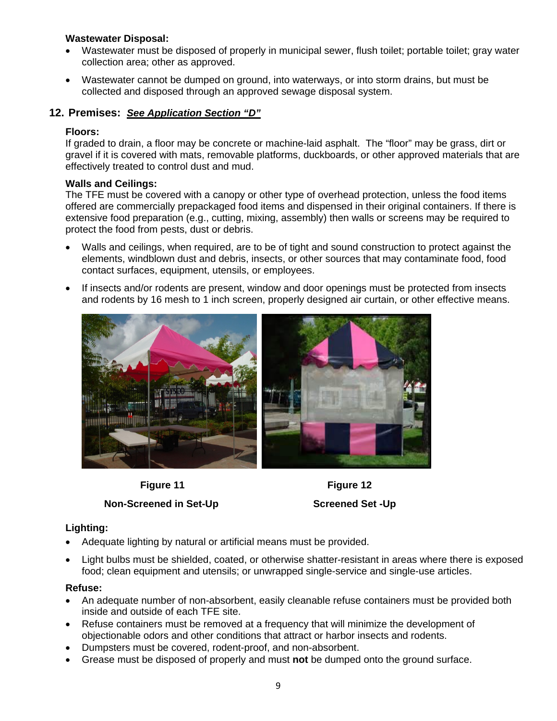#### **Wastewater Disposal:**

- Wastewater must be disposed of properly in municipal sewer, flush toilet; portable toilet; gray water collection area; other as approved.
- Wastewater cannot be dumped on ground, into waterways, or into storm drains, but must be collected and disposed through an approved sewage disposal system.

#### **12. Premises:** *See Application Section "D"*

#### **Floors:**

If graded to drain, a floor may be concrete or machine-laid asphalt. The "floor" may be grass, dirt or gravel if it is covered with mats, removable platforms, duckboards, or other approved materials that are effectively treated to control dust and mud.

#### **Walls and Ceilings:**

The TFE must be covered with a canopy or other type of overhead protection, unless the food items offered are commercially prepackaged food items and dispensed in their original containers. If there is extensive food preparation (e.g., cutting, mixing, assembly) then walls or screens may be required to protect the food from pests, dust or debris.

- Walls and ceilings, when required, are to be of tight and sound construction to protect against the elements, windblown dust and debris, insects, or other sources that may contaminate food, food contact surfaces, equipment, utensils, or employees.
- If insects and/or rodents are present, window and door openings must be protected from insects and rodents by 16 mesh to 1 inch screen, properly designed air curtain, or other effective means.



**Figure 11** Figure 12



#### **Lighting:**

- Adequate lighting by natural or artificial means must be provided.
- Light bulbs must be shielded, coated, or otherwise shatter-resistant in areas where there is exposed food; clean equipment and utensils; or unwrapped single-service and single-use articles.

#### **Refuse:**

- An adequate number of non-absorbent, easily cleanable refuse containers must be provided both inside and outside of each TFE site.
- Refuse containers must be removed at a frequency that will minimize the development of objectionable odors and other conditions that attract or harbor insects and rodents.
- Dumpsters must be covered, rodent-proof, and non-absorbent.
- Grease must be disposed of properly and must **not** be dumped onto the ground surface.